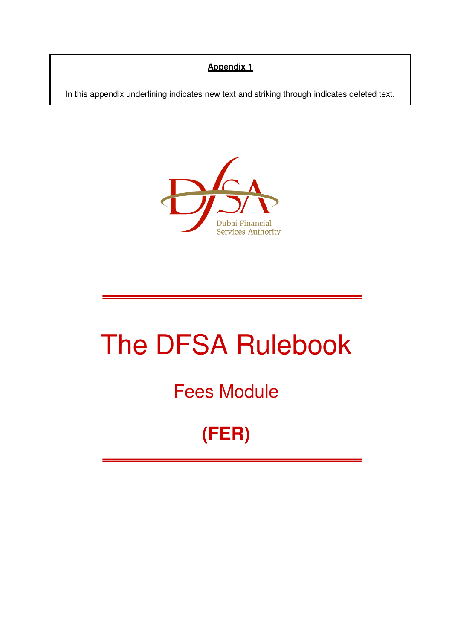# **Appendix 1**

In this appendix underlining indicates new text and striking through indicates deleted text.



# The DFSA Rulebook

# Fees Module

**(FER)**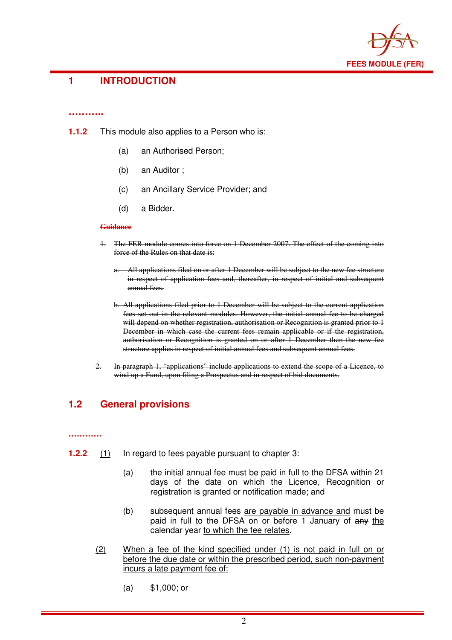

## **1 INTRODUCTION**

#### **………..**

- **1.1.2** This module also applies to a Person who is:
	- (a) an Authorised Person;
	- (b) an Auditor ;
	- (c) an Ancillary Service Provider; and
	- (d) a Bidder.

#### **Guidance**

- 1. The FER module comes into force on 1 December 2007. The effect of the coming into force of the Rules on that date is:
	- a. All applications filed on or after 1 December will be subject to the new fee structure in respect of application fees and, thereafter, in respect of initial and subsequent annual fees.
	- b. All applications filed prior to 1 December will be subject to the current application fees set out in the relevant modules. However, the initial annual fee to be charged will depend on whether registration, authorisation or Recognition is granted prior to 1 December in which case the current fees remain applicable or if the registration, authorisation or Recognition is granted on or after 1 December then the new fee structure applies in respect of initial annual fees and subsequent annual fees.
- 2. In paragraph 1, "applications" include applications to extend the scope of a Licence, to wind up a Fund, upon filing a Prospectus and in respect of bid documents.

# **1.2 General provisions**

#### **…………**

- **1.2.2** (1) In regard to fees payable pursuant to chapter 3:
	- (a) the initial annual fee must be paid in full to the DFSA within 21 days of the date on which the Licence, Recognition or registration is granted or notification made; and
	- (b) subsequent annual fees are payable in advance and must be paid in full to the DFSA on or before 1 January of any the calendar year to which the fee relates.
	- (2) When a fee of the kind specified under (1) is not paid in full on or before the due date or within the prescribed period, such non-payment incurs a late payment fee of:
		- (a) \$1,000; or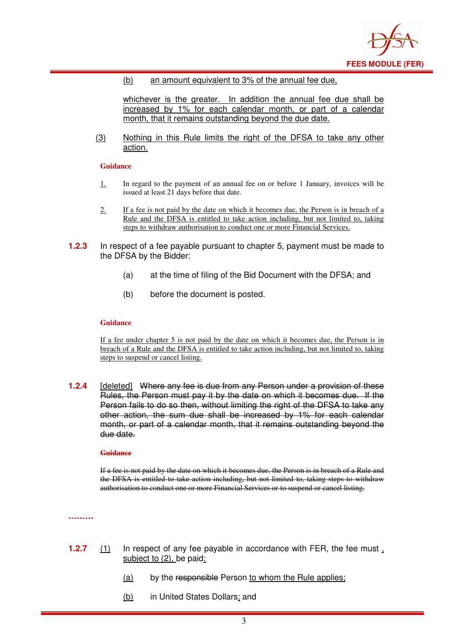

#### (b) an amount equivalent to 3% of the annual fee due,

whichever is the greater. In addition the annual fee due shall be increased by 1% for each calendar month, or part of a calendar month, that it remains outstanding beyond the due date.

(3) Nothing in this Rule limits the right of the DFSA to take any other action.

#### **Guidance**

- 1. In regard to the payment of an annual fee on or before 1 January, invoices will be issued at least 21 days before that date.
- 2. If a fee is not paid by the date on which it becomes due, the Person is in breach of a Rule and the DFSA is entitled to take action including, but not limited to, taking steps to withdraw authorisation to conduct one or more Financial Services.
- **1.2.3** In respect of a fee payable pursuant to chapter 5, payment must be made to the DFSA by the Bidder:
	- (a) at the time of filing of the Bid Document with the DFSA; and
	- (b) before the document is posted.

#### **Guidance**

If a fee under chapter 5 is not paid by the date on which it becomes due, the Person is in breach of a Rule and the DFSA is entitled to take action including, but not limited to, taking steps to suspend or cancel listing.

**1.2.4** [deleted] Where any fee is due from any Person under a provision of these Rules, the Person must pay it by the date on which it becomes due. If the Person fails to do so then, without limiting the right of the DFSA to take any other action, the sum due shall be increased by 1% for each calendar month, or part of a calendar month, that it remains outstanding beyond the due date.

#### **Guidance**

If a fee is not paid by the date on which it becomes due, the Person is in breach of a Rule and the DFSA is entitled to take action including, but not limited to, taking steps to withdraw authorisation to conduct one or more Financial Services or to suspend or cancel listing.

**………**

- **1.2.7** (1) In respect of any fee payable in accordance with FER, the fee must, subject to (2), be paid:
	- (a) by the responsible Person to whom the Rule applies;
	- (b) in United States Dollars; and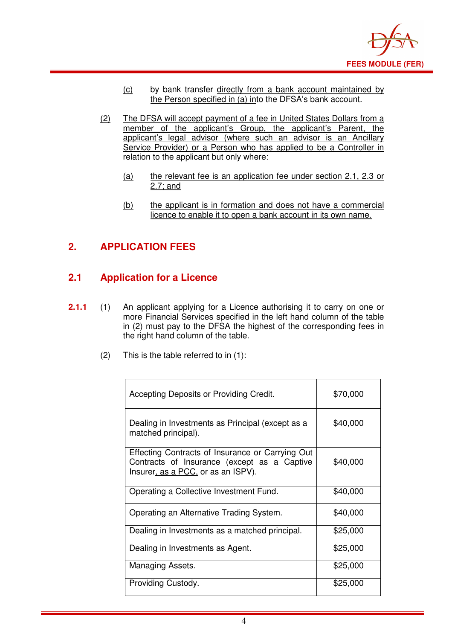

- (c) by bank transfer directly from a bank account maintained by the Person specified in (a) into the DFSA's bank account.
- (2) The DFSA will accept payment of a fee in United States Dollars from a member of the applicant's Group, the applicant's Parent, the applicant's legal advisor (where such an advisor is an Ancillary Service Provider) or a Person who has applied to be a Controller in relation to the applicant but only where:
	- (a) the relevant fee is an application fee under section 2.1, 2.3 or 2.7; and
	- (b) the applicant is in formation and does not have a commercial licence to enable it to open a bank account in its own name.

# **2. APPLICATION FEES**

# **2.1 Application for a Licence**

- **2.1.1** (1) An applicant applying for a Licence authorising it to carry on one or more Financial Services specified in the left hand column of the table in (2) must pay to the DFSA the highest of the corresponding fees in the right hand column of the table.
	- (2) This is the table referred to in (1):

| Accepting Deposits or Providing Credit.                                                                                               | \$70,000 |
|---------------------------------------------------------------------------------------------------------------------------------------|----------|
| Dealing in Investments as Principal (except as a<br>matched principal).                                                               | \$40,000 |
| Effecting Contracts of Insurance or Carrying Out<br>Contracts of Insurance (except as a Captive<br>Insurer, as a PCC, or as an ISPV). | \$40,000 |
| Operating a Collective Investment Fund.                                                                                               | \$40,000 |
| Operating an Alternative Trading System.                                                                                              | \$40,000 |
| Dealing in Investments as a matched principal.                                                                                        | \$25,000 |
| Dealing in Investments as Agent.                                                                                                      | \$25,000 |
| Managing Assets.                                                                                                                      | \$25,000 |
| Providing Custody.                                                                                                                    | \$25,000 |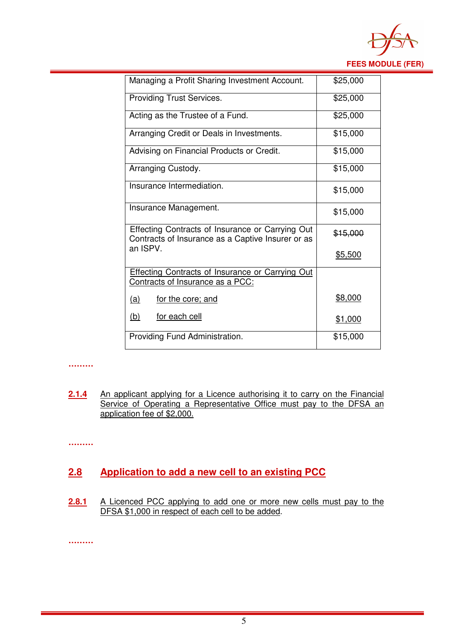

| Managing a Profit Sharing Investment Account.                                                         | \$25,000 |
|-------------------------------------------------------------------------------------------------------|----------|
| <b>Providing Trust Services.</b>                                                                      | \$25,000 |
| Acting as the Trustee of a Fund.                                                                      | \$25,000 |
| Arranging Credit or Deals in Investments.                                                             | \$15,000 |
| Advising on Financial Products or Credit.                                                             | \$15,000 |
| Arranging Custody.                                                                                    | \$15,000 |
| Insurance Intermediation.                                                                             | \$15,000 |
| Insurance Management.                                                                                 | \$15,000 |
| Effecting Contracts of Insurance or Carrying Out<br>Contracts of Insurance as a Captive Insurer or as | \$15,000 |
| an ISPV.                                                                                              | \$5,500  |
| <b>Effecting Contracts of Insurance or Carrying Out</b><br><b>Contracts of Insurance as a PCC:</b>    |          |
| (a)<br><u>for the core; and</u>                                                                       | \$8,000  |
| (b)<br>for each cell                                                                                  | \$1,000  |
| Providing Fund Administration.                                                                        | \$15,000 |

#### **………**

2.1.4 An applicant applying for a Licence authorising it to carry on the Financial Service of Operating a Representative Office must pay to the DFSA an application fee of \$2,000.

**………**

# **2.8 Application to add a new cell to an existing PCC**

2.8.1 A Licenced PCC applying to add one or more new cells must pay to the DFSA \$1,000 in respect of each cell to be added.

**………**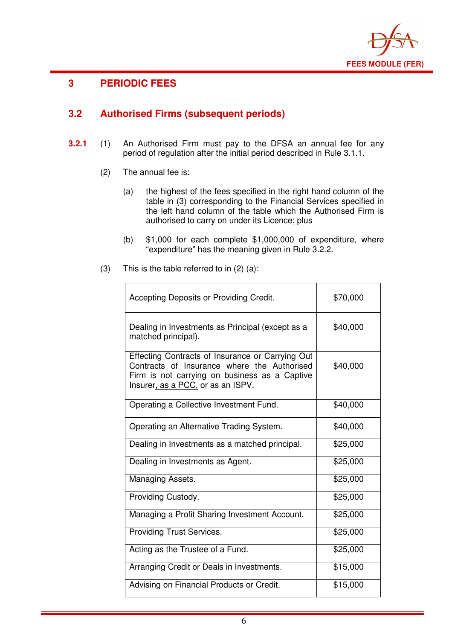

٦

 $\top$ 

# **3 PERIODIC FEES**

# **3.2 Authorised Firms (subsequent periods)**

- **3.2.1** (1) An Authorised Firm must pay to the DFSA an annual fee for any period of regulation after the initial period described in Rule 3.1.1.
	- (2) The annual fee is:
		- (a) the highest of the fees specified in the right hand column of the table in (3) corresponding to the Financial Services specified in the left hand column of the table which the Authorised Firm is authorised to carry on under its Licence; plus
		- (b) \$1,000 for each complete \$1,000,000 of expenditure, where "expenditure" has the meaning given in Rule 3.2.2.

| (3) | This is the table referred to in $(2)$ $(a)$ : |
|-----|------------------------------------------------|
|     |                                                |

| Accepting Deposits or Providing Credit.                                                                                                                                               | \$70,000 |
|---------------------------------------------------------------------------------------------------------------------------------------------------------------------------------------|----------|
| Dealing in Investments as Principal (except as a<br>matched principal).                                                                                                               | \$40,000 |
| Effecting Contracts of Insurance or Carrying Out<br>Contracts of Insurance where the Authorised<br>Firm is not carrying on business as a Captive<br>Insurer, as a PCC, or as an ISPV. | \$40,000 |
| Operating a Collective Investment Fund.                                                                                                                                               | \$40,000 |
| Operating an Alternative Trading System.                                                                                                                                              | \$40,000 |
| Dealing in Investments as a matched principal.                                                                                                                                        | \$25,000 |
| Dealing in Investments as Agent.                                                                                                                                                      | \$25,000 |
| Managing Assets.                                                                                                                                                                      | \$25,000 |
| Providing Custody.                                                                                                                                                                    | \$25,000 |
| Managing a Profit Sharing Investment Account.                                                                                                                                         | \$25,000 |
| <b>Providing Trust Services.</b>                                                                                                                                                      | \$25,000 |
| Acting as the Trustee of a Fund.                                                                                                                                                      | \$25,000 |
| Arranging Credit or Deals in Investments.                                                                                                                                             | \$15,000 |
| Advising on Financial Products or Credit.                                                                                                                                             | \$15,000 |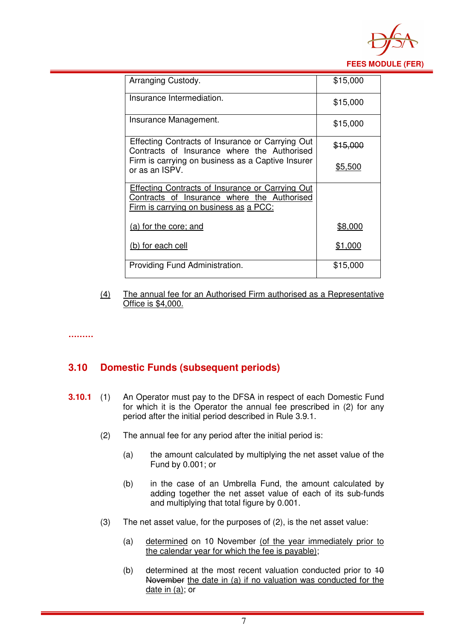

| Arranging Custody.                                                                                     | \$15,000            |
|--------------------------------------------------------------------------------------------------------|---------------------|
|                                                                                                        |                     |
| Insurance Intermediation.                                                                              | \$15,000            |
| Insurance Management.                                                                                  |                     |
|                                                                                                        | \$15,000            |
| Effecting Contracts of Insurance or Carrying Out<br>Contracts of Insurance where the Authorised        | <del>\$15,000</del> |
| Firm is carrying on business as a Captive Insurer<br>or as an ISPV.                                    | \$5,500             |
| <b>Effecting Contracts of Insurance or Carrying Out</b><br>Contracts of Insurance where the Authorised |                     |
| <u>Firm is carrying on business as a PCC:</u>                                                          |                     |
| (a) for the core; and                                                                                  | \$8,000             |
| (b) for each cell                                                                                      | <u>\$1,000</u>      |
| Providing Fund Administration.                                                                         | \$15,000            |

- (4) The annual fee for an Authorised Firm authorised as a Representative Office is \$4,000.
- 

**………**

### **3.10 Domestic Funds (subsequent periods)**

- **3.10.1** (1) An Operator must pay to the DFSA in respect of each Domestic Fund for which it is the Operator the annual fee prescribed in (2) for any period after the initial period described in Rule 3.9.1.
	- (2) The annual fee for any period after the initial period is:
		- (a) the amount calculated by multiplying the net asset value of the Fund by 0.001; or
		- (b) in the case of an Umbrella Fund, the amount calculated by adding together the net asset value of each of its sub-funds and multiplying that total figure by 0.001.
	- (3) The net asset value, for the purposes of (2), is the net asset value:
		- (a) determined on 10 November (of the year immediately prior to the calendar year for which the fee is payable);
		- (b) determined at the most recent valuation conducted prior to  $10$ November the date in (a) if no valuation was conducted for the date in (a); or